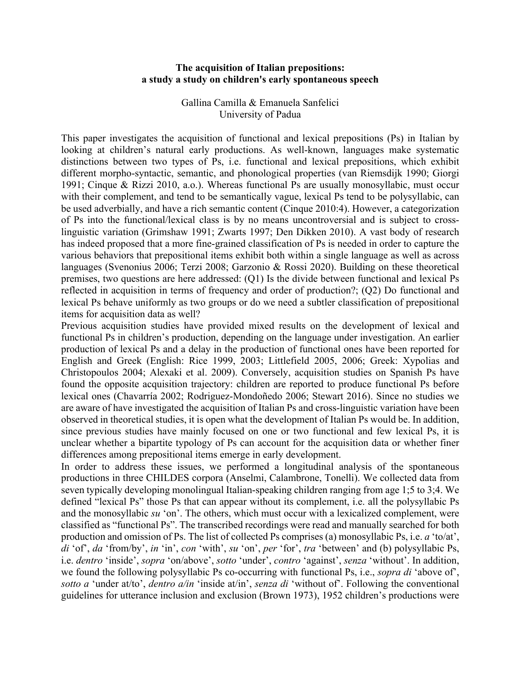## **The acquisition of Italian prepositions: a study a study on children's early spontaneous speech**

Gallina Camilla & Emanuela Sanfelici University of Padua

This paper investigates the acquisition of functional and lexical prepositions (Ps) in Italian by looking at children's natural early productions. As well-known, languages make systematic distinctions between two types of Ps, i.e. functional and lexical prepositions, which exhibit different morpho-syntactic, semantic, and phonological properties (van Riemsdijk 1990; Giorgi 1991; Cinque & Rizzi 2010, a.o.). Whereas functional Ps are usually monosyllabic, must occur with their complement, and tend to be semantically vague, lexical Ps tend to be polysyllabic, can be used adverbially, and have a rich semantic content (Cinque 2010:4). However, a categorization of Ps into the functional/lexical class is by no means uncontroversial and is subject to crosslinguistic variation (Grimshaw 1991; Zwarts 1997; Den Dikken 2010). A vast body of research has indeed proposed that a more fine-grained classification of Ps is needed in order to capture the various behaviors that prepositional items exhibit both within a single language as well as across languages (Svenonius 2006; Terzi 2008; Garzonio & Rossi 2020). Building on these theoretical premises, two questions are here addressed: (Q1) Is the divide between functional and lexical Ps reflected in acquisition in terms of frequency and order of production?; (Q2) Do functional and lexical Ps behave uniformly as two groups or do we need a subtler classification of prepositional items for acquisition data as well?

Previous acquisition studies have provided mixed results on the development of lexical and functional Ps in children's production, depending on the language under investigation. An earlier production of lexical Ps and a delay in the production of functional ones have been reported for English and Greek (English: Rice 1999, 2003; Littlefield 2005, 2006; Greek: Xypolias and Christopoulos 2004; Alexaki et al. 2009). Conversely, acquisition studies on Spanish Ps have found the opposite acquisition trajectory: children are reported to produce functional Ps before lexical ones (Chavarría 2002; Rodriguez-Mondoñedo 2006; Stewart 2016). Since no studies we are aware of have investigated the acquisition of Italian Ps and cross-linguistic variation have been observed in theoretical studies, it is open what the development of Italian Ps would be. In addition, since previous studies have mainly focused on one or two functional and few lexical Ps, it is unclear whether a bipartite typology of Ps can account for the acquisition data or whether finer differences among prepositional items emerge in early development.

In order to address these issues, we performed a longitudinal analysis of the spontaneous productions in three CHILDES corpora (Anselmi, Calambrone, Tonelli). We collected data from seven typically developing monolingual Italian-speaking children ranging from age 1;5 to 3;4. We defined "lexical Ps" those Ps that can appear without its complement, i.e. all the polysyllabic Ps and the monosyllabic *su* 'on'. The others, which must occur with a lexicalized complement, were classified as "functional Ps". The transcribed recordings were read and manually searched for both production and omission of Ps. The list of collected Ps comprises (a) monosyllabic Ps, i.e. *a* 'to/at', *di* 'of', *da* 'from/by', *in* 'in', *con* 'with', *su* 'on', *per* 'for', *tra* 'between' and (b) polysyllabic Ps, i.e. *dentro* 'inside', *sopra* 'on/above', *sotto* 'under', *contro* 'against', *senza* 'without'. In addition, we found the following polysyllabic Ps co-occurring with functional Ps, i.e., *sopra di* 'above of', *sotto a* 'under at/to', *dentro a/in* 'inside at/in', *senza di* 'without of'. Following the conventional guidelines for utterance inclusion and exclusion (Brown 1973), 1952 children's productions were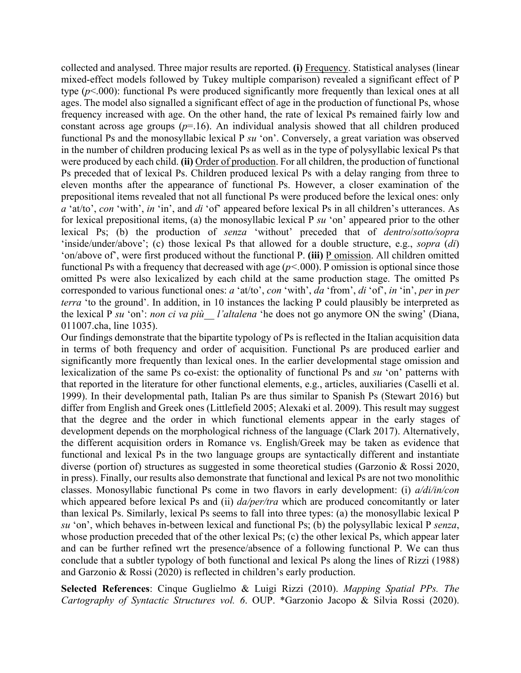collected and analysed. Three major results are reported. **(i)** Frequency. Statistical analyses (linear mixed-effect models followed by Tukey multiple comparison) revealed a significant effect of P type (*p*<.000): functional Ps were produced significantly more frequently than lexical ones at all ages. The model also signalled a significant effect of age in the production of functional Ps, whose frequency increased with age. On the other hand, the rate of lexical Ps remained fairly low and constant across age groups  $(p=16)$ . An individual analysis showed that all children produced functional Ps and the monosyllabic lexical P *su* 'on'. Conversely, a great variation was observed in the number of children producing lexical Ps as well as in the type of polysyllabic lexical Ps that were produced by each child. **(ii)** Order of production. For all children, the production of functional Ps preceded that of lexical Ps. Children produced lexical Ps with a delay ranging from three to eleven months after the appearance of functional Ps. However, a closer examination of the prepositional items revealed that not all functional Ps were produced before the lexical ones: only *a* 'at/to', *con* 'with', *in* 'in', and *di* 'of' appeared before lexical Ps in all children's utterances. As for lexical prepositional items, (a) the monosyllabic lexical P *su* 'on' appeared prior to the other lexical Ps; (b) the production of *senza* 'without' preceded that of *dentro*/*sotto/sopra* 'inside/under/above'; (c) those lexical Ps that allowed for a double structure, e.g., *sopra* (*di*) 'on/above of', were first produced without the functional P. **(iii)** P omission. All children omitted functional Ps with a frequency that decreased with age  $(p<.000)$ . P omission is optional since those omitted Ps were also lexicalized by each child at the same production stage. The omitted Ps corresponded to various functional ones: *a* 'at/to', *con* 'with', *da* 'from', *di* 'of', *in* 'in', *per* in *per terra* 'to the ground'. In addition, in 10 instances the lacking P could plausibly be interpreted as the lexical P *su* 'on': *non ci va più\_\_ l'altalena* 'he does not go anymore ON the swing' (Diana, 011007.cha, line 1035).

Our findings demonstrate that the bipartite typology of Ps is reflected in the Italian acquisition data in terms of both frequency and order of acquisition. Functional Ps are produced earlier and significantly more frequently than lexical ones. In the earlier developmental stage omission and lexicalization of the same Ps co-exist: the optionality of functional Ps and *su* 'on' patterns with that reported in the literature for other functional elements, e.g., articles, auxiliaries (Caselli et al. 1999). In their developmental path, Italian Ps are thus similar to Spanish Ps (Stewart 2016) but differ from English and Greek ones (Littlefield 2005; Alexaki et al. 2009). This result may suggest that the degree and the order in which functional elements appear in the early stages of development depends on the morphological richness of the language (Clark 2017). Alternatively, the different acquisition orders in Romance vs. English/Greek may be taken as evidence that functional and lexical Ps in the two language groups are syntactically different and instantiate diverse (portion of) structures as suggested in some theoretical studies (Garzonio & Rossi 2020, in press). Finally, our results also demonstrate that functional and lexical Ps are not two monolithic classes. Monosyllabic functional Ps come in two flavors in early development: (i) *a/di/in/con* which appeared before lexical Ps and (ii) *da/per/tra* which are produced concomitantly or later than lexical Ps. Similarly, lexical Ps seems to fall into three types: (a) the monosyllabic lexical P *su* 'on', which behaves in-between lexical and functional Ps; (b) the polysyllabic lexical P *senza*, whose production preceded that of the other lexical Ps; (c) the other lexical Ps, which appear later and can be further refined wrt the presence/absence of a following functional P. We can thus conclude that a subtler typology of both functional and lexical Ps along the lines of Rizzi (1988) and Garzonio & Rossi (2020) is reflected in children's early production.

**Selected References**: Cinque Guglielmo & Luigi Rizzi (2010). *Mapping Spatial PPs. The Cartography of Syntactic Structures vol. 6*. OUP. \*Garzonio Jacopo & Silvia Rossi (2020).